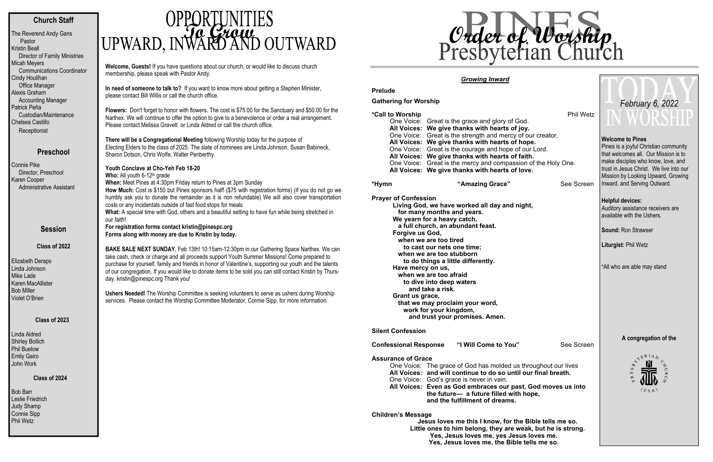## **Church Staff**

The Reverend Andy Gans Pastor Kristin Beall Director of Family Ministries Micah Meyers Communications Coordinator Cindy Houlihan Office Manager Alexis Graham Accounting Manager Patrick Peña Custodian/Maintenance Chelsea Castillo **Receptionist** 

### **Preschool**

Bob Barr Leslie Friedrich Judy Shamp Connie Sipp Phil Wetz

# **OPPORTUNITIES**<br>UPWARD, INWARD AND OUTWARD

Connie Pike Director, Preschool Karen Cooper Administrative Assistant

#### **Session**

**Class of 2022** 

Elizabeth Deraps Linda Johnson Mike Lade Karen MacAllister Bob Miller Violet O'Brien

#### **Class of 2023**

Linda Aldred Shirley Bollich Phil Buelow Emily Gairo John Work

#### **Class of 2024**

**Welcome, Guests!** If you have questions about our church, or would like to discuss church membership, please speak with Pastor Andy.

**In need of someone to talk to?** If you want to know more about getting a Stephen Minister, please contact Bill Willis or call the church office.

**Flowers:** Don't forget to honor with flowers. The cost is \$75.00 for the Sanctuary and \$50.00 for the Narthex. We will continue to offer the option to give to a benevolence or order a real arrangement. Please contact Melissa Gravett or Linda Aldred or call the church office.

**There will be a Congregational Meeting** following Worship today for the purpose of Electing Elders to the class of 2025. The slate of nominees are Linda Johnson, Susan Babineck, Sharon Dotson, Chris Wolfe, Walter Penberthy.

**Youth Conclave at Cho-Yeh Feb 18-20 Who:** All youth 6-12<sup>th</sup> grade **When:** Meet Pines at 4:30pm Friday return to Pines at 3pm Sunday **How Much:** Cost is \$150 but Pines sponsors half! (\$75 with registration forms) (if you do not go we humbly ask you to donate the remainder as it is non refundable) We will also cover transportation costs or any incidentals outside of fast food stops for meals **What:** A special time with God, others and a beautiful setting to have fun while being stretched in our faith! **For registration forms contact kristin@pinespc.org Forms along with money are due to Kristin by today. BAKE SALE NEXT SUNDAY**, Feb 13th! 10:15am-12:30pm in our Gathering Space Narthex. We can

Pines is a joyful Christian community that welcomes all. Our Mission is to make disciples who know, love, and trust in Jesus Christ. We live into our Mission by Looking Upward, Growing Inward, and Serving Outward.

take cash, check or charge and all proceeds support Youth Summer Missions! Come prepared to purchase for yourself, family and friends in honor of Valentine's, supporting our youth and the talents of our congregation. If you would like to donate items to be sold you can still contact Kristin by Thursday. kristin@pinespc.org Thank you!

**Ushers Needed!** The Worship Committee is seeking volunteers to serve as ushers during Worship services. Please contact the Worship Committee Moderator, Connie Sipp, for more information.

### *Growing Inward*

#### **Prelude**

**Gathering for Worship** 

#### **\*Call to Worship** Phil Wetz

| One Voice: Great is the grace and glory of God.               |
|---------------------------------------------------------------|
| All Voices: We give thanks with hearts of joy.                |
| One Voice: Great is the strength and mercy of our creator.    |
| All Voices: We give thanks with hearts of hope.               |
| One Voice: Great is the courage and hope of our Lord.         |
| All Voices: We give thanks with hearts of faith.              |
| One Voice: Great is the mercy and compassion of the Holy One. |
| All Voices: We give thanks with hearts of love.               |

#### **\*Hym**

**"Amazing Grace"** See Screen

**Prayer of Confession** 

**Living God, we have worked all day and night, for many months and years. We yearn for a heavy catch, a full church, an abundant feast. Forgive us God, when we are too tired to cast our nets one time; when we are too stubborn to do things a little differently. Have mercy on us, when we are too afraid to dive into deep waters and take a risk. Grant us grace, that we may proclaim your word, work for your kingdom, and trust your promises. Amen.** 

#### **Silent Confession**

**Confessional Response "I Will Come to You"** See Screen

#### **Assurance of Grace**

 One Voice: The grace of God has molded us throughout our lives **All Voices: and will continue to do so until our final breath.**  One Voice: God's grace is never in vain. **All Voices: Even as God embraces our past, God moves us into the future— a future filled with hope, and the fulfillment of dreams.** 

#### **Children's Message**

**Jesus loves me this I know, for the Bible tells me so. Little ones to him belong, they are weak, but he is strong. Yes, Jesus loves me, yes Jesus loves me. Yes, Jesus loves me, the Bible tells me so.** 

#### **Welcome to Pines**

#### **Helpful devices:**

Auditory assistance receivers are available with the Ushers.

**Sound:** Ron Strawser

**Liturgist:** Phil Wetz

\*All who are able may stand

#### **A congregation of the**



## *February 6, 2022*